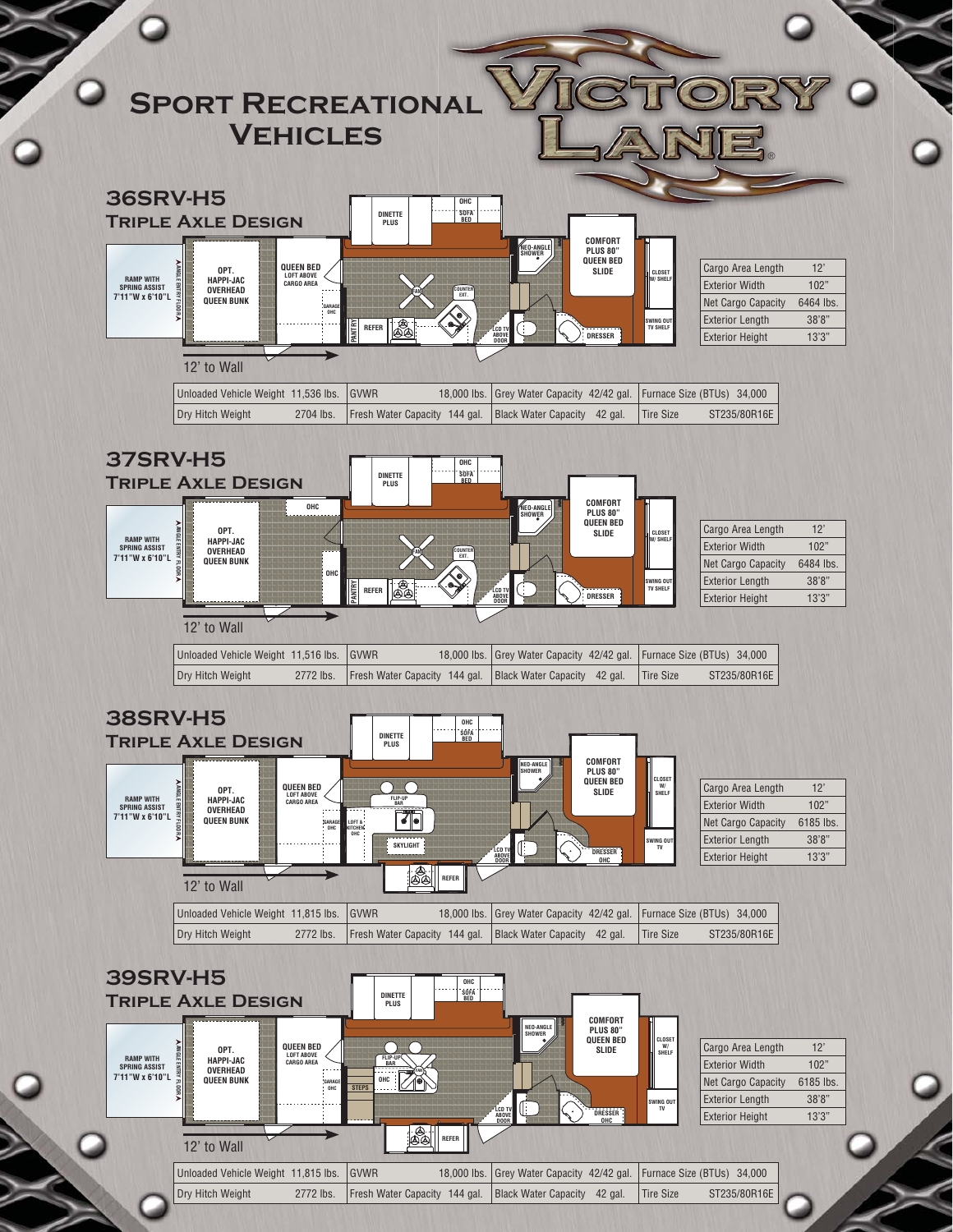